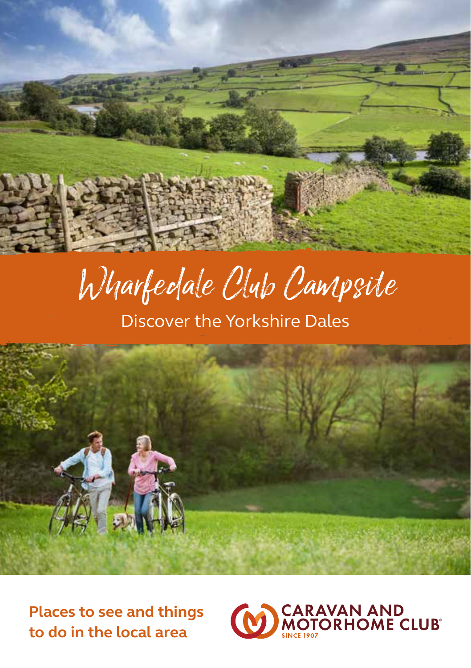

# Wharfedale Club Campsite

Discover the Yorkshire Dales



**Places to see and things to do in the local area**

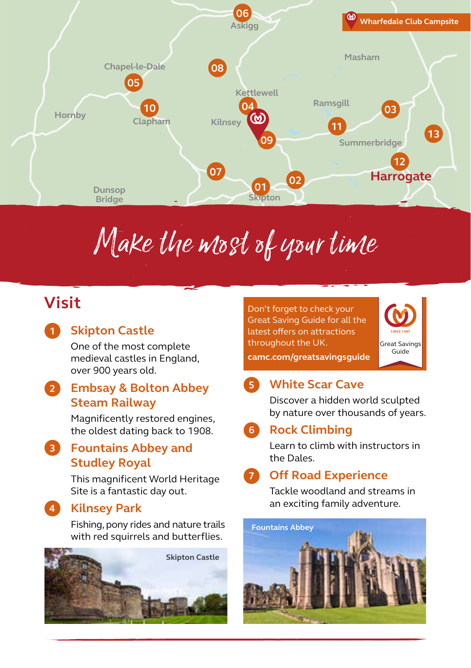

# Make the most of your time

# **Visit**

## **1**

**4**

### **Skipton Castle**

One of the most complete medieval castles in England, over 900 years old.

#### **Embsay & Bolton Abbey Steam Railway 2**

Magnificently restored engines, the oldest dating back to 1908.

## **Fountains Abbey and 3 Studley Royal**

This magnificent World Heritage Site is a fantastic day out.

### **Kilnsey Park**

Fishing, pony rides and nature trails with red squirrels and butterflies.



Don't forget to check your Great Saving Guide for all the latest offers on attractions throughout the UK.



**camc.com/greatsavingsguide**

#### **White Scar Cave 5**

Discover a hidden world sculpted by nature over thousands of years.

#### **Rock Climbing 6**

Learn to climb with instructors in the Dales.

#### **Off Road Experience 7**

Tackle woodland and streams in an exciting family adventure.

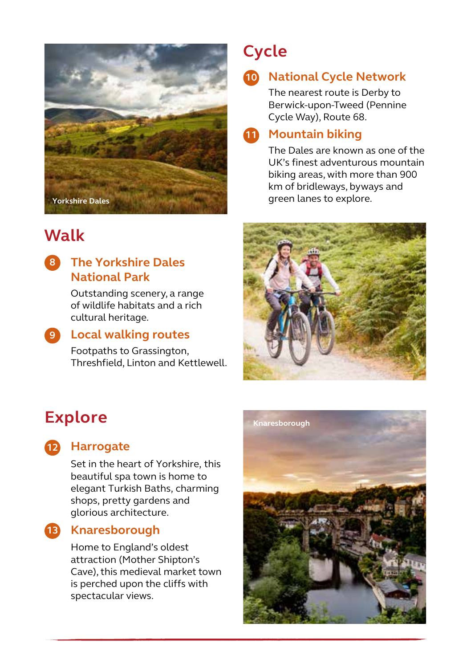

# **Walk**

## **The Yorkshire Dales 8 National Park**

Outstanding scenery, a range of wildlife habitats and a rich cultural heritage.

**Local walking routes 9**

Footpaths to Grassington, Threshfield, Linton and Kettlewell.

# **Cycle**

**National Cycle Network 10**

> The nearest route is Derby to Berwick-upon-Tweed (Pennine Cycle Way), Route 68.

## **Mountain biking 11**

The Dales are known as one of the UK's finest adventurous mountain biking areas, with more than 900 km of bridleways, byways and green lanes to explore.



# **Explore**



## **Harrogate 12**

Set in the heart of Yorkshire, this beautiful spa town is home to elegant Turkish Baths, charming shops, pretty gardens and glorious architecture.

### **Knaresborough 13**

Home to England's oldest attraction (Mother Shipton's Cave), this medieval market town is perched upon the cliffs with spectacular views.